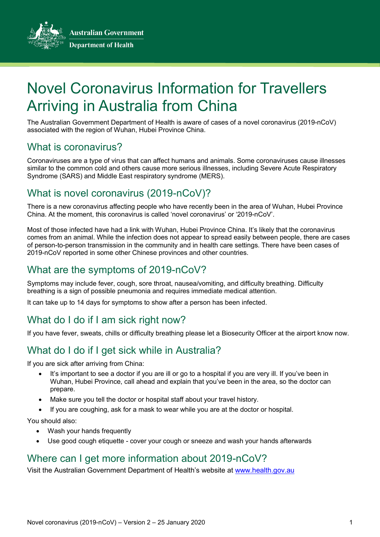**Australian Government** 



**Department of Health** 

# Novel Coronavirus Information for Travellers Arriving in Australia from China

The Australian Government Department of Health is aware of cases of a novel coronavirus (2019-nCoV) associated with the region of Wuhan, Hubei Province China.

## What is coronavirus?

Coronaviruses are a type of virus that can affect humans and animals. Some coronaviruses cause illnesses similar to the common cold and others cause more serious illnesses, including Severe Acute Respiratory Syndrome (SARS) and Middle East respiratory syndrome (MERS).

## What is novel coronavirus (2019-nCoV)?

There is a new coronavirus affecting people who have recently been in the area of Wuhan, Hubei Province China. At the moment, this coronavirus is called 'novel coronavirus' or '2019-nCoV'.

Most of those infected have had a link with Wuhan, Hubei Province China. It's likely that the coronavirus comes from an animal. While the infection does not appear to spread easily between people, there are cases of person-to-person transmission in the community and in health care settings. There have been cases of 2019-nCoV reported in some other Chinese provinces and other countries.

## What are the symptoms of 2019-nCoV?

Symptoms may include fever, cough, sore throat, nausea/vomiting, and difficulty breathing. Difficulty breathing is a sign of possible pneumonia and requires immediate medical attention.

It can take up to 14 days for symptoms to show after a person has been infected.

## What do I do if I am sick right now?

If you have fever, sweats, chills or difficulty breathing please let a Biosecurity Officer at the airport know now.

## What do I do if I get sick while in Australia?

If you are sick after arriving from China:

- It's important to see a doctor if you are ill or go to a hospital if you are very ill. If you've been in Wuhan, Hubei Province, call ahead and explain that you've been in the area, so the doctor can prepare.
- Make sure you tell the doctor or hospital staff about your travel history.
- If you are coughing, ask for a mask to wear while you are at the doctor or hospital.

You should also:

- Wash your hands frequently
- Use good cough etiquette cover your cough or sneeze and wash your hands afterwards

## Where can I get more information about 2019-nCoV?

Visit the Australian Government Department of Health's website at [www.health.gov.au](http://www.health.gov.au/)